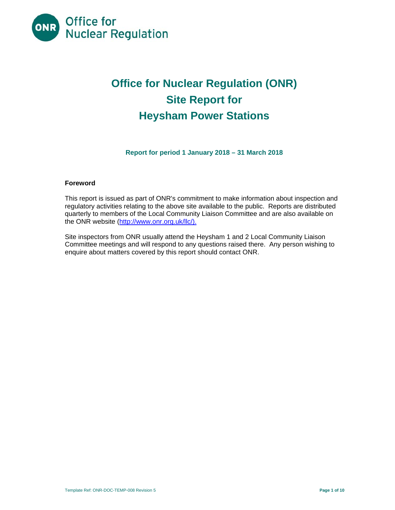

# **Office for Nuclear Regulation (ONR) Site Report for Heysham Power Stations**

**Report for period 1 January 2018 – 31 March 2018** 

#### **Foreword**

This report is issued as part of ONR's commitment to make information about inspection and regulatory activities relating to the above site available to the public. Reports are distributed quarterly to members of the Local Community Liaison Committee and are also available on the ONR website (http://www.onr.org.uk/llc/).

Site inspectors from ONR usually attend the Heysham 1 and 2 Local Community Liaison Committee meetings and will respond to any questions raised there. Any person wishing to enquire about matters covered by this report should contact ONR.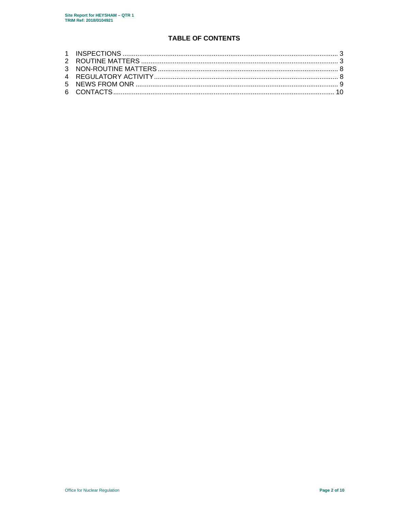# **TABLE OF CONTENTS**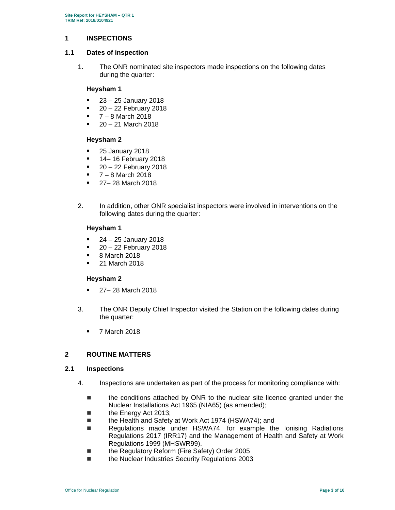### **1 INSPECTIONS**

### **1.1 Dates of inspection**

1. The ONR nominated site inspectors made inspections on the following dates during the quarter:

## **Heysham 1**

- 23 25 January 2018
- $\blacksquare$  20 22 February 2018
- $-7 8$  March 2018
- $-20 21$  March 2018

## **Heysham 2**

- **25 January 2018**
- **14–16 February 2018**
- $-20 22$  February 2018
- $-7 8$  March 2018
- **27–28 March 2018**
- 2. In addition, other ONR specialist inspectors were involved in interventions on the following dates during the quarter:

#### **Heysham 1**

- $\blacksquare$  24 25 January 2018
- $-20 22$  February 2018
- 8 March 2018
- 21 March 2018

#### **Heysham 2**

- **27 28 March 2018**
- 3. The ONR Deputy Chief Inspector visited the Station on the following dates during the quarter:
	- **7 March 2018**

# **2 ROUTINE MATTERS**

#### **2.1 Inspections**

- 4. Inspections are undertaken as part of the process for monitoring compliance with:
	- the conditions attached by ONR to the nuclear site licence granted under the Nuclear Installations Act 1965 (NIA65) (as amended);
	- the Energy Act 2013;
	- the Health and Safety at Work Act 1974 (HSWA74); and
	- Regulations made under HSWA74, for example the lonising Radiations Regulations 2017 (IRR17) and the Management of Health and Safety at Work Regulations 1999 (MHSWR99).
	- the Regulatory Reform (Fire Safety) Order 2005
	- the Nuclear Industries Security Regulations 2003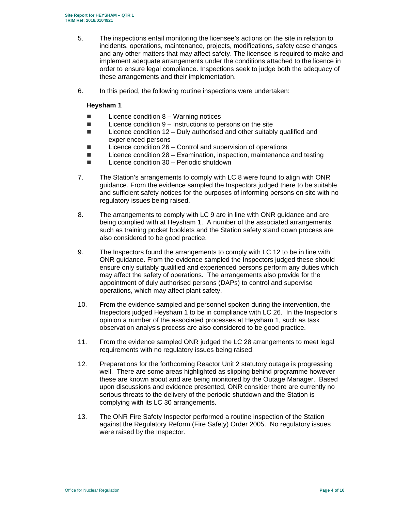- 5. The inspections entail monitoring the licensee's actions on the site in relation to incidents, operations, maintenance, projects, modifications, safety case changes and any other matters that may affect safety. The licensee is required to make and implement adequate arrangements under the conditions attached to the licence in order to ensure legal compliance. Inspections seek to judge both the adequacy of these arrangements and their implementation.
- 6. In this period, the following routine inspections were undertaken:

# **Heysham 1**

- $\blacksquare$  Licence condition 8 Warning notices
- $\blacksquare$  Licence condition 9 Instructions to persons on the site
- $\blacksquare$  Licence condition 12 Duly authorised and other suitably qualified and experienced persons
- Licence condition 26 Control and supervision of operations
- $\blacksquare$  Licence condition 28 Examination, inspection, maintenance and testing
- $\blacksquare$  Licence condition 30 Periodic shutdown
- 7. The Station's arrangements to comply with LC 8 were found to align with ONR guidance. From the evidence sampled the Inspectors judged there to be suitable and sufficient safety notices for the purposes of informing persons on site with no regulatory issues being raised.
- 8. The arrangements to comply with LC 9 are in line with ONR guidance and are being complied with at Heysham 1. A number of the associated arrangements such as training pocket booklets and the Station safety stand down process are also considered to be good practice.
- 9. The Inspectors found the arrangements to comply with LC 12 to be in line with ONR guidance. From the evidence sampled the Inspectors judged these should ensure only suitably qualified and experienced persons perform any duties which may affect the safety of operations. The arrangements also provide for the appointment of duly authorised persons (DAPs) to control and supervise operations, which may affect plant safety.
- 10. From the evidence sampled and personnel spoken during the intervention, the Inspectors judged Heysham 1 to be in compliance with LC 26. In the Inspector's opinion a number of the associated processes at Heysham 1, such as task observation analysis process are also considered to be good practice.
- 11. From the evidence sampled ONR judged the LC 28 arrangements to meet legal requirements with no regulatory issues being raised.
- 12. Preparations for the forthcoming Reactor Unit 2 statutory outage is progressing well. There are some areas highlighted as slipping behind programme however these are known about and are being monitored by the Outage Manager. Based upon discussions and evidence presented, ONR consider there are currently no serious threats to the delivery of the periodic shutdown and the Station is complying with its LC 30 arrangements.
- 13. The ONR Fire Safety Inspector performed a routine inspection of the Station against the Regulatory Reform (Fire Safety) Order 2005. No regulatory issues were raised by the Inspector.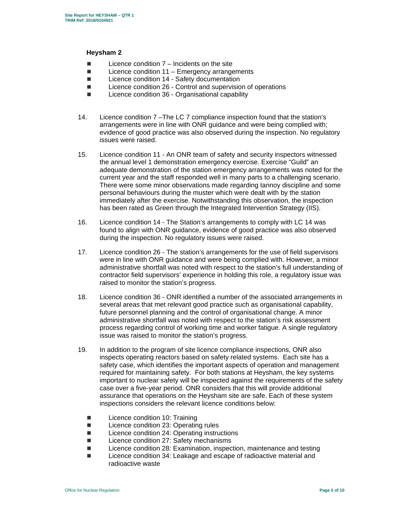## **Heysham 2**

- $\blacksquare$  Licence condition  $7$  Incidents on the site
- $\blacksquare$  Licence condition 11 Emergency arrangements
- Licence condition 14 Safety documentation
- Licence condition 26 Control and supervision of operations
- Licence condition 36 Organisational capability
- 14. Licence condition 7 –The LC 7 compliance inspection found that the station's arrangements were in line with ONR guidance and were being complied with; evidence of good practice was also observed during the inspection. No regulatory issues were raised.
- 15. Licence condition 11 An ONR team of safety and security inspectors witnessed the annual level 1 demonstration emergency exercise. Exercise "Guild" an adequate demonstration of the station emergency arrangements was noted for the current year and the staff responded well in many parts to a challenging scenario. There were some minor observations made regarding tannoy discipline and some personal behaviours during the muster which were dealt with by the station immediately after the exercise. Notwithstanding this observation, the inspection has been rated as Green through the Integrated Intervention Strategy (IIS).
- 16. Licence condition 14 The Station's arrangements to comply with LC 14 was found to align with ONR guidance, evidence of good practice was also observed during the inspection. No regulatory issues were raised.
- 17. Licence condition 26 The station's arrangements for the use of field supervisors were in line with ONR guidance and were being complied with. However, a minor administrative shortfall was noted with respect to the station's full understanding of contractor field supervisors' experience in holding this role, a regulatory issue was raised to monitor the station's progress.
- 18. Licence condition 36 ONR identified a number of the associated arrangements in several areas that met relevant good practice such as organisational capability, future personnel planning and the control of organisational change. A minor administrative shortfall was noted with respect to the station's risk assessment process regarding control of working time and worker fatigue. A single regulatory issue was raised to monitor the station's progress.
- 19. In addition to the program of site licence compliance inspections, ONR also inspects operating reactors based on safety related systems. Each site has a safety case, which identifies the important aspects of operation and management required for maintaining safety. For both stations at Heysham, the key systems important to nuclear safety will be inspected against the requirements of the safety case over a five-year period. ONR considers that this will provide additional assurance that operations on the Heysham site are safe. Each of these system inspections considers the relevant licence conditions below:
	- **Licence condition 10: Training**
	- Licence condition 23: Operating rules
	- Licence condition 24: Operating instructions
	- Licence condition 27: Safety mechanisms
	- Licence condition 28: Examination, inspection, maintenance and testing
	- Licence condition 34: Leakage and escape of radioactive material and radioactive waste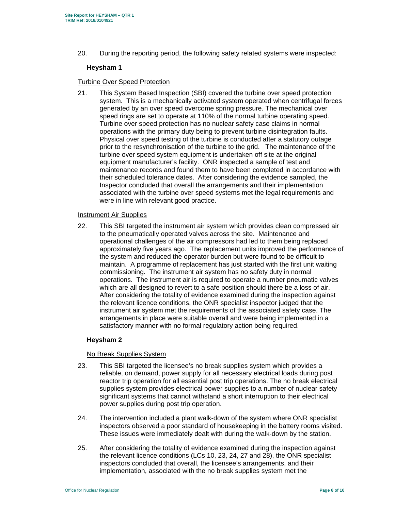20. During the reporting period, the following safety related systems were inspected:

# **Heysham 1**

## Turbine Over Speed Protection

21. This System Based Inspection (SBI) covered the turbine over speed protection system. This is a mechanically activated system operated when centrifugal forces generated by an over speed overcome spring pressure. The mechanical over speed rings are set to operate at 110% of the normal turbine operating speed. Turbine over speed protection has no nuclear safety case claims in normal operations with the primary duty being to prevent turbine disintegration faults. Physical over speed testing of the turbine is conducted after a statutory outage prior to the resynchronisation of the turbine to the grid. The maintenance of the turbine over speed system equipment is undertaken off site at the original equipment manufacturer's facility. ONR inspected a sample of test and maintenance records and found them to have been completed in accordance with their scheduled tolerance dates. After considering the evidence sampled, the Inspector concluded that overall the arrangements and their implementation associated with the turbine over speed systems met the legal requirements and were in line with relevant good practice.

#### Instrument Air Supplies

22. This SBI targeted the instrument air system which provides clean compressed air to the pneumatically operated valves across the site. Maintenance and operational challenges of the air compressors had led to them being replaced approximately five years ago. The replacement units improved the performance of the system and reduced the operator burden but were found to be difficult to maintain. A programme of replacement has just started with the first unit waiting commissioning. The instrument air system has no safety duty in normal operations. The instrument air is required to operate a number pneumatic valves which are all designed to revert to a safe position should there be a loss of air. After considering the totality of evidence examined during the inspection against the relevant licence conditions, the ONR specialist inspector judged that the instrument air system met the requirements of the associated safety case. The arrangements in place were suitable overall and were being implemented in a satisfactory manner with no formal regulatory action being required.

# **Heysham 2**

# No Break Supplies System

- 23. This SBI targeted the licensee's no break supplies system which provides a reliable, on demand, power supply for all necessary electrical loads during post reactor trip operation for all essential post trip operations. The no break electrical supplies system provides electrical power supplies to a number of nuclear safety significant systems that cannot withstand a short interruption to their electrical power supplies during post trip operation.
- 24. The intervention included a plant walk-down of the system where ONR specialist inspectors observed a poor standard of housekeeping in the battery rooms visited. These issues were immediately dealt with during the walk-down by the station.
- 25. After considering the totality of evidence examined during the inspection against the relevant licence conditions (LCs 10, 23, 24, 27 and 28), the ONR specialist inspectors concluded that overall, the licensee's arrangements, and their implementation, associated with the no break supplies system met the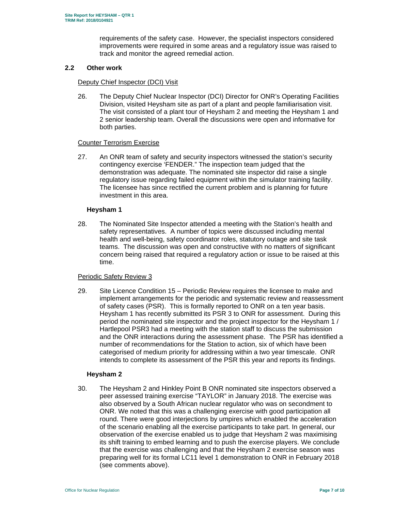requirements of the safety case. However, the specialist inspectors considered improvements were required in some areas and a regulatory issue was raised to track and monitor the agreed remedial action.

## **2.2 Other work**

### Deputy Chief Inspector (DCI) Visit

26. The Deputy Chief Nuclear Inspector (DCI) Director for ONR's Operating Facilities Division, visited Heysham site as part of a plant and people familiarisation visit. The visit consisted of a plant tour of Heysham 2 and meeting the Heysham 1 and 2 senior leadership team. Overall the discussions were open and informative for both parties.

## Counter Terrorism Exercise

27. An ONR team of safety and security inspectors witnessed the station's security contingency exercise 'FENDER." The inspection team judged that the demonstration was adequate. The nominated site inspector did raise a single regulatory issue regarding failed equipment within the simulator training facility. The licensee has since rectified the current problem and is planning for future investment in this area.

## **Heysham 1**

28. The Nominated Site Inspector attended a meeting with the Station's health and safety representatives. A number of topics were discussed including mental health and well-being, safety coordinator roles, statutory outage and site task teams. The discussion was open and constructive with no matters of significant concern being raised that required a regulatory action or issue to be raised at this time.

## Periodic Safety Review 3

29. Site Licence Condition 15 – Periodic Review requires the licensee to make and implement arrangements for the periodic and systematic review and reassessment of safety cases (PSR). This is formally reported to ONR on a ten year basis. Heysham 1 has recently submitted its PSR 3 to ONR for assessment. During this period the nominated site inspector and the project inspector for the Heysham 1 / Hartlepool PSR3 had a meeting with the station staff to discuss the submission and the ONR interactions during the assessment phase. The PSR has identified a number of recommendations for the Station to action, six of which have been categorised of medium priority for addressing within a two year timescale. ONR intends to complete its assessment of the PSR this year and reports its findings.

# **Heysham 2**

30. The Heysham 2 and Hinkley Point B ONR nominated site inspectors observed a peer assessed training exercise "TAYLOR" in January 2018. The exercise was also observed by a South African nuclear regulator who was on secondment to ONR. We noted that this was a challenging exercise with good participation all round. There were good interjections by umpires which enabled the acceleration of the scenario enabling all the exercise participants to take part. In general, our observation of the exercise enabled us to judge that Heysham 2 was maximising its shift training to embed learning and to push the exercise players. We conclude that the exercise was challenging and that the Heysham 2 exercise season was preparing well for its formal LC11 level 1 demonstration to ONR in February 2018 (see comments above).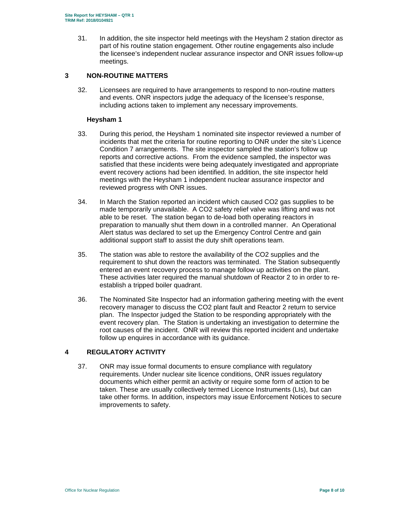31. In addition, the site inspector held meetings with the Heysham 2 station director as part of his routine station engagement. Other routine engagements also include the licensee's independent nuclear assurance inspector and ONR issues follow-up meetings.

# **3 NON-ROUTINE MATTERS**

32. Licensees are required to have arrangements to respond to non-routine matters and events. ONR inspectors judge the adequacy of the licensee's response, including actions taken to implement any necessary improvements.

#### **Heysham 1**

- 33. During this period, the Heysham 1 nominated site inspector reviewed a number of incidents that met the criteria for routine reporting to ONR under the site's Licence Condition 7 arrangements. The site inspector sampled the station's follow up reports and corrective actions. From the evidence sampled, the inspector was satisfied that these incidents were being adequately investigated and appropriate event recovery actions had been identified. In addition, the site inspector held meetings with the Heysham 1 independent nuclear assurance inspector and reviewed progress with ONR issues.
- 34. In March the Station reported an incident which caused CO2 gas supplies to be made temporarily unavailable. A CO2 safety relief valve was lifting and was not able to be reset. The station began to de-load both operating reactors in preparation to manually shut them down in a controlled manner. An Operational Alert status was declared to set up the Emergency Control Centre and gain additional support staff to assist the duty shift operations team.
- 35. The station was able to restore the availability of the CO2 supplies and the requirement to shut down the reactors was terminated. The Station subsequently entered an event recovery process to manage follow up activities on the plant. These activities later required the manual shutdown of Reactor 2 to in order to reestablish a tripped boiler quadrant.
- 36. The Nominated Site Inspector had an information gathering meeting with the event recovery manager to discuss the CO2 plant fault and Reactor 2 return to service plan. The Inspector judged the Station to be responding appropriately with the event recovery plan. The Station is undertaking an investigation to determine the root causes of the incident. ONR will review this reported incident and undertake follow up enquires in accordance with its guidance.

# **4 REGULATORY ACTIVITY**

37. ONR may issue formal documents to ensure compliance with regulatory requirements. Under nuclear site licence conditions, ONR issues regulatory documents which either permit an activity or require some form of action to be taken. These are usually collectively termed Licence Instruments (LIs), but can take other forms. In addition, inspectors may issue Enforcement Notices to secure improvements to safety.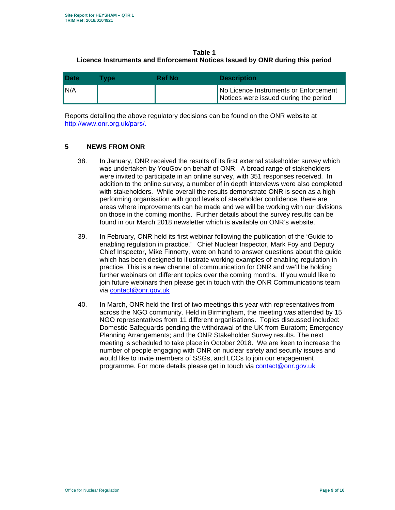# **Table 1 Licence Instruments and Enforcement Notices Issued by ONR during this period**

| <b>Date</b> | <b>Type</b> | Ref Nol | <b>Description</b>                                                             |
|-------------|-------------|---------|--------------------------------------------------------------------------------|
| N/A         |             |         | No Licence Instruments or Enforcement<br>Notices were issued during the period |

Reports detailing the above regulatory decisions can be found on the ONR website at http://www.onr.org.uk/pars/.

## **5 NEWS FROM ONR**

- 38. In January, ONR received the results of its first external stakeholder survey which was undertaken by YouGov on behalf of ONR. A broad range of stakeholders were invited to participate in an online survey, with 351 responses received. In addition to the online survey, a number of in depth interviews were also completed with stakeholders. While overall the results demonstrate ONR is seen as a high performing organisation with good levels of stakeholder confidence, there are areas where improvements can be made and we will be working with our divisions on those in the coming months. Further details about the survey results can be found in our March 2018 newsletter which is available on ONR's website.
- 39. In February, ONR held its first webinar following the publication of the 'Guide to enabling regulation in practice.' Chief Nuclear Inspector, Mark Foy and Deputy Chief Inspector, Mike Finnerty, were on hand to answer questions about the guide which has been designed to illustrate working examples of enabling regulation in practice. This is a new channel of communication for ONR and we'll be holding further webinars on different topics over the coming months. If you would like to join future webinars then please get in touch with the ONR Communications team via contact@onr.gov.uk
- 40. In March, ONR held the first of two meetings this year with representatives from across the NGO community. Held in Birmingham, the meeting was attended by 15 NGO representatives from 11 different organisations. Topics discussed included: Domestic Safeguards pending the withdrawal of the UK from Euratom; Emergency Planning Arrangements; and the ONR Stakeholder Survey results. The next meeting is scheduled to take place in October 2018. We are keen to increase the number of people engaging with ONR on nuclear safety and security issues and would like to invite members of SSGs, and LCCs to join our engagement programme. For more details please get in touch via contact@onr.gov.uk